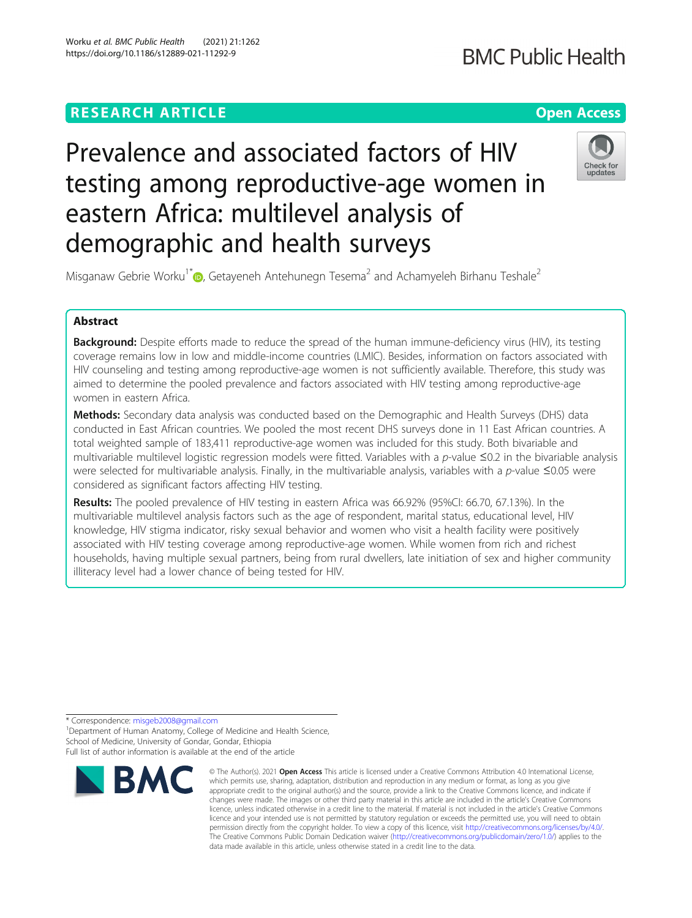# **RESEARCH ARTICLE Example 2014 12:30 The Contract of Contract ACCESS**

# **BMC Public Health**

# Prevalence and associated factors of HIV testing among reproductive-age women in eastern Africa: multilevel analysis of demographic and health surveys



Misganaw Gebrie Worku<sup>1\*</sup> [,](http://orcid.org/0000-0002-7647-6449) Getayeneh Antehunegn Tesema<sup>2</sup> and Achamyeleh Birhanu Teshale<sup>2</sup>

# Abstract

**Background:** Despite efforts made to reduce the spread of the human immune-deficiency virus (HIV), its testing coverage remains low in low and middle-income countries (LMIC). Besides, information on factors associated with HIV counseling and testing among reproductive-age women is not sufficiently available. Therefore, this study was aimed to determine the pooled prevalence and factors associated with HIV testing among reproductive-age women in eastern Africa.

Methods: Secondary data analysis was conducted based on the Demographic and Health Surveys (DHS) data conducted in East African countries. We pooled the most recent DHS surveys done in 11 East African countries. A total weighted sample of 183,411 reproductive-age women was included for this study. Both bivariable and multivariable multilevel logistic regression models were fitted. Variables with a p-value  $\leq 0.2$  in the bivariable analysis were selected for multivariable analysis. Finally, in the multivariable analysis, variables with a p-value ≤0.05 were considered as significant factors affecting HIV testing.

Results: The pooled prevalence of HIV testing in eastern Africa was 66.92% (95%CI: 66.70, 67.13%). In the multivariable multilevel analysis factors such as the age of respondent, marital status, educational level, HIV knowledge, HIV stigma indicator, risky sexual behavior and women who visit a health facility were positively associated with HIV testing coverage among reproductive-age women. While women from rich and richest households, having multiple sexual partners, being from rural dwellers, late initiation of sex and higher community illiteracy level had a lower chance of being tested for HIV.

\* Correspondence: [misgeb2008@gmail.com](mailto:misgeb2008@gmail.com) <sup>1</sup>

<sup>1</sup> Department of Human Anatomy, College of Medicine and Health Science, School of Medicine, University of Gondar, Gondar, Ethiopia Full list of author information is available at the end of the article



<sup>©</sup> The Author(s), 2021 **Open Access** This article is licensed under a Creative Commons Attribution 4.0 International License, which permits use, sharing, adaptation, distribution and reproduction in any medium or format, as long as you give appropriate credit to the original author(s) and the source, provide a link to the Creative Commons licence, and indicate if changes were made. The images or other third party material in this article are included in the article's Creative Commons licence, unless indicated otherwise in a credit line to the material. If material is not included in the article's Creative Commons licence and your intended use is not permitted by statutory regulation or exceeds the permitted use, you will need to obtain permission directly from the copyright holder. To view a copy of this licence, visit [http://creativecommons.org/licenses/by/4.0/.](http://creativecommons.org/licenses/by/4.0/) The Creative Commons Public Domain Dedication waiver [\(http://creativecommons.org/publicdomain/zero/1.0/](http://creativecommons.org/publicdomain/zero/1.0/)) applies to the data made available in this article, unless otherwise stated in a credit line to the data.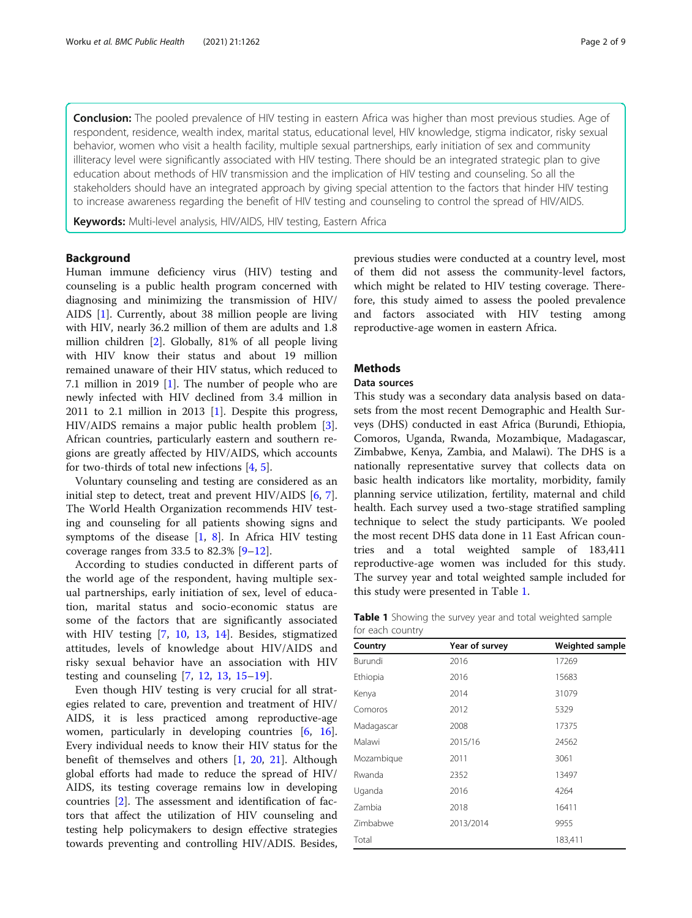Conclusion: The pooled prevalence of HIV testing in eastern Africa was higher than most previous studies. Age of respondent, residence, wealth index, marital status, educational level, HIV knowledge, stigma indicator, risky sexual behavior, women who visit a health facility, multiple sexual partnerships, early initiation of sex and community illiteracy level were significantly associated with HIV testing. There should be an integrated strategic plan to give education about methods of HIV transmission and the implication of HIV testing and counseling. So all the stakeholders should have an integrated approach by giving special attention to the factors that hinder HIV testing to increase awareness regarding the benefit of HIV testing and counseling to control the spread of HIV/AIDS.

Keywords: Multi-level analysis, HIV/AIDS, HIV testing, Eastern Africa

# Background

Human immune deficiency virus (HIV) testing and counseling is a public health program concerned with diagnosing and minimizing the transmission of HIV/ AIDS [\[1](#page-8-0)]. Currently, about 38 million people are living with HIV, nearly 36.2 million of them are adults and 1.8 million children [[2\]](#page-8-0). Globally, 81% of all people living with HIV know their status and about 19 million remained unaware of their HIV status, which reduced to 7.1 million in 2019 [[1\]](#page-8-0). The number of people who are newly infected with HIV declined from 3.4 million in 2011 to 2.1 million in 2013 [\[1](#page-8-0)]. Despite this progress, HIV/AIDS remains a major public health problem [\[3](#page-8-0)]. African countries, particularly eastern and southern regions are greatly affected by HIV/AIDS, which accounts for two-thirds of total new infections [\[4](#page-8-0), [5](#page-8-0)].

Voluntary counseling and testing are considered as an initial step to detect, treat and prevent HIV/AIDS [[6,](#page-8-0) [7](#page-8-0)]. The World Health Organization recommends HIV testing and counseling for all patients showing signs and symptoms of the disease  $[1, 8]$  $[1, 8]$  $[1, 8]$  $[1, 8]$  $[1, 8]$ . In Africa HIV testing coverage ranges from 33.5 to 82.3%  $[9-12]$  $[9-12]$  $[9-12]$ .

According to studies conducted in different parts of the world age of the respondent, having multiple sexual partnerships, early initiation of sex, level of education, marital status and socio-economic status are some of the factors that are significantly associated with HIV testing [[7,](#page-8-0) [10,](#page-8-0) [13,](#page-8-0) [14](#page-8-0)]. Besides, stigmatized attitudes, levels of knowledge about HIV/AIDS and risky sexual behavior have an association with HIV testing and counseling  $[7, 12, 13, 15-19]$  $[7, 12, 13, 15-19]$  $[7, 12, 13, 15-19]$  $[7, 12, 13, 15-19]$  $[7, 12, 13, 15-19]$  $[7, 12, 13, 15-19]$  $[7, 12, 13, 15-19]$  $[7, 12, 13, 15-19]$  $[7, 12, 13, 15-19]$ .

Even though HIV testing is very crucial for all strategies related to care, prevention and treatment of HIV/ AIDS, it is less practiced among reproductive-age women, particularly in developing countries [[6,](#page-8-0) [16](#page-8-0)]. Every individual needs to know their HIV status for the benefit of themselves and others [[1,](#page-8-0) [20,](#page-8-0) [21](#page-8-0)]. Although global efforts had made to reduce the spread of HIV/ AIDS, its testing coverage remains low in developing countries [[2\]](#page-8-0). The assessment and identification of factors that affect the utilization of HIV counseling and testing help policymakers to design effective strategies towards preventing and controlling HIV/ADIS. Besides, previous studies were conducted at a country level, most of them did not assess the community-level factors, which might be related to HIV testing coverage. Therefore, this study aimed to assess the pooled prevalence and factors associated with HIV testing among reproductive-age women in eastern Africa.

# Methods

# Data sources

This study was a secondary data analysis based on datasets from the most recent Demographic and Health Surveys (DHS) conducted in east Africa (Burundi, Ethiopia, Comoros, Uganda, Rwanda, Mozambique, Madagascar, Zimbabwe, Kenya, Zambia, and Malawi). The DHS is a nationally representative survey that collects data on basic health indicators like mortality, morbidity, family planning service utilization, fertility, maternal and child health. Each survey used a two-stage stratified sampling technique to select the study participants. We pooled the most recent DHS data done in 11 East African countries and a total weighted sample of 183,411 reproductive-age women was included for this study. The survey year and total weighted sample included for this study were presented in Table 1.

Table 1 Showing the survey year and total weighted sample for each country

| Country    | Year of survey | Weighted sample |  |
|------------|----------------|-----------------|--|
| Burundi    | 2016           | 17269           |  |
| Ethiopia   | 2016           | 15683           |  |
| Kenya      | 2014           | 31079           |  |
| Comoros    | 2012           | 5329            |  |
| Madagascar | 2008           | 17375           |  |
| Malawi     | 2015/16        | 24562           |  |
| Mozambique | 2011           | 3061            |  |
| Rwanda     | 2352           | 13497           |  |
| Uganda     | 2016           | 4264            |  |
| Zambia     | 2018           | 16411           |  |
| Zimbabwe   | 2013/2014      | 9955            |  |
| Total      |                | 183,411         |  |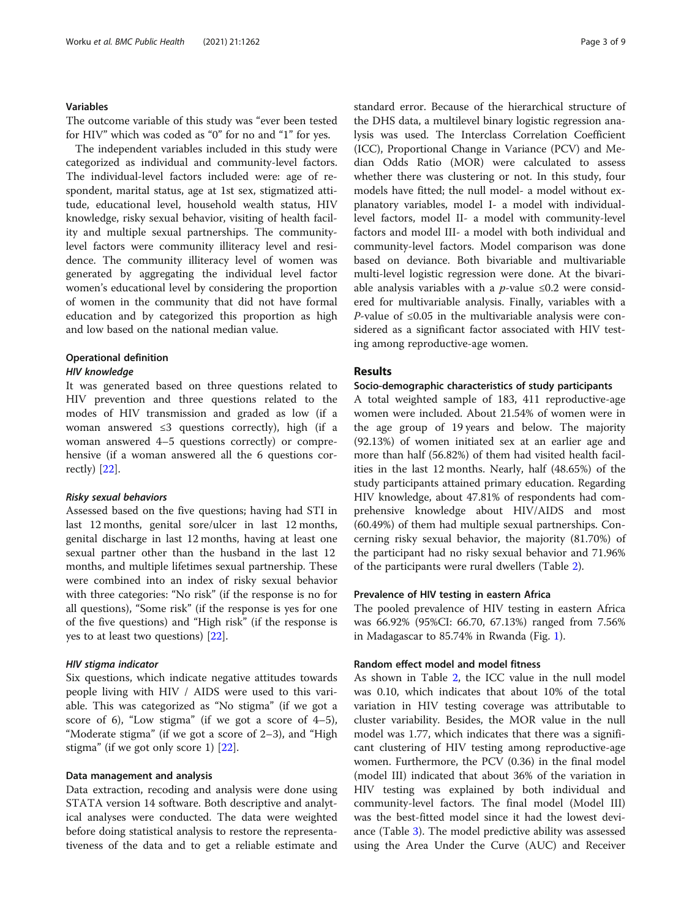# Variables

The outcome variable of this study was "ever been tested for HIV" which was coded as "0" for no and "1" for yes.

The independent variables included in this study were categorized as individual and community-level factors. The individual-level factors included were: age of respondent, marital status, age at 1st sex, stigmatized attitude, educational level, household wealth status, HIV knowledge, risky sexual behavior, visiting of health facility and multiple sexual partnerships. The communitylevel factors were community illiteracy level and residence. The community illiteracy level of women was generated by aggregating the individual level factor women's educational level by considering the proportion of women in the community that did not have formal education and by categorized this proportion as high and low based on the national median value.

# Operational definition

#### HIV knowledge

It was generated based on three questions related to HIV prevention and three questions related to the modes of HIV transmission and graded as low (if a woman answered  $\leq 3$  questions correctly), high (if a woman answered 4–5 questions correctly) or comprehensive (if a woman answered all the 6 questions correctly) [[22](#page-8-0)].

#### Risky sexual behaviors

Assessed based on the five questions; having had STI in last 12 months, genital sore/ulcer in last 12 months, genital discharge in last 12 months, having at least one sexual partner other than the husband in the last 12 months, and multiple lifetimes sexual partnership. These were combined into an index of risky sexual behavior with three categories: "No risk" (if the response is no for all questions), "Some risk" (if the response is yes for one of the five questions) and "High risk" (if the response is yes to at least two questions) [\[22](#page-8-0)].

#### HIV stigma indicator

Six questions, which indicate negative attitudes towards people living with HIV / AIDS were used to this variable. This was categorized as "No stigma" (if we got a score of 6), "Low stigma" (if we got a score of  $4-5$ ), "Moderate stigma" (if we got a score of 2–3), and "High stigma" (if we got only score 1) [[22](#page-8-0)].

# Data management and analysis

Data extraction, recoding and analysis were done using STATA version 14 software. Both descriptive and analytical analyses were conducted. The data were weighted before doing statistical analysis to restore the representativeness of the data and to get a reliable estimate and standard error. Because of the hierarchical structure of the DHS data, a multilevel binary logistic regression analysis was used. The Interclass Correlation Coefficient (ICC), Proportional Change in Variance (PCV) and Median Odds Ratio (MOR) were calculated to assess whether there was clustering or not. In this study, four models have fitted; the null model- a model without explanatory variables, model I- a model with individuallevel factors, model II- a model with community-level factors and model III- a model with both individual and community-level factors. Model comparison was done based on deviance. Both bivariable and multivariable multi-level logistic regression were done. At the bivariable analysis variables with a *p*-value ≤0.2 were considered for multivariable analysis. Finally, variables with a *P*-value of ≤0.05 in the multivariable analysis were considered as a significant factor associated with HIV testing among reproductive-age women.

# Results

# Socio-demographic characteristics of study participants

A total weighted sample of 183, 411 reproductive-age women were included. About 21.54% of women were in the age group of 19 years and below. The majority (92.13%) of women initiated sex at an earlier age and more than half (56.82%) of them had visited health facilities in the last 12 months. Nearly, half (48.65%) of the study participants attained primary education. Regarding HIV knowledge, about 47.81% of respondents had comprehensive knowledge about HIV/AIDS and most (60.49%) of them had multiple sexual partnerships. Concerning risky sexual behavior, the majority (81.70%) of the participant had no risky sexual behavior and 71.96% of the participants were rural dwellers (Table [2\)](#page-3-0).

# Prevalence of HIV testing in eastern Africa

The pooled prevalence of HIV testing in eastern Africa was 66.92% (95%CI: 66.70, 67.13%) ranged from 7.56% in Madagascar to 85.74% in Rwanda (Fig. [1\)](#page-4-0).

# Random effect model and model fitness

As shown in Table [2](#page-3-0), the ICC value in the null model was 0.10, which indicates that about 10% of the total variation in HIV testing coverage was attributable to cluster variability. Besides, the MOR value in the null model was 1.77, which indicates that there was a significant clustering of HIV testing among reproductive-age women. Furthermore, the PCV (0.36) in the final model (model III) indicated that about 36% of the variation in HIV testing was explained by both individual and community-level factors. The final model (Model III) was the best-fitted model since it had the lowest deviance (Table [3](#page-4-0)). The model predictive ability was assessed using the Area Under the Curve (AUC) and Receiver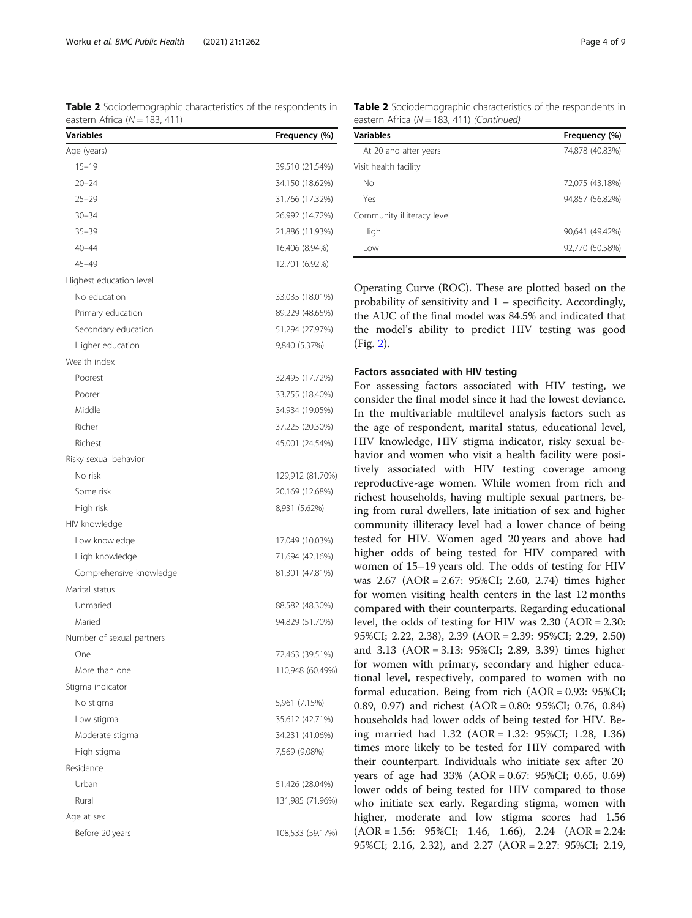<span id="page-3-0"></span>Table 2 Sociodemographic characteristics of the respondents in eastern Africa  $(N = 183, 411)$ 

| <b>Variables</b>          | Frequency (%)    |
|---------------------------|------------------|
| Age (years)               |                  |
| $15 - 19$                 | 39,510 (21.54%)  |
| $20 - 24$                 | 34,150 (18.62%)  |
| $25 - 29$                 | 31,766 (17.32%)  |
| $30 - 34$                 | 26,992 (14.72%)  |
| $35 - 39$                 | 21,886 (11.93%)  |
| $40 - 44$                 | 16,406 (8.94%)   |
| 45–49                     | 12,701 (6.92%)   |
| Highest education level   |                  |
| No education              | 33,035 (18.01%)  |
| Primary education         | 89,229 (48.65%)  |
| Secondary education       | 51,294 (27.97%)  |
| Higher education          | 9,840 (5.37%)    |
| Wealth index              |                  |
| Poorest                   | 32,495 (17.72%)  |
| Poorer                    | 33,755 (18.40%)  |
| Middle                    | 34,934 (19.05%)  |
| Richer                    | 37,225 (20.30%)  |
| Richest                   | 45,001 (24.54%)  |
| Risky sexual behavior     |                  |
| No risk                   | 129,912 (81.70%) |
| Some risk                 | 20,169 (12.68%)  |
| High risk                 | 8,931 (5.62%)    |
| HIV knowledge             |                  |
| Low knowledge             | 17,049 (10.03%)  |
| High knowledge            | 71,694 (42.16%)  |
| Comprehensive knowledge   | 81,301 (47.81%)  |
| Marital status            |                  |
| Unmaried                  | 88,582 (48.30%)  |
| Maried                    | 94,829 (51.70%)  |
| Number of sexual partners |                  |
| One                       | 72,463 (39.51%)  |
| More than one             | 110,948 (60.49%) |
| Stigma indicator          |                  |
| No stigma                 | 5,961 (7.15%)    |
| Low stigma                | 35,612 (42.71%)  |
| Moderate stigma           | 34,231 (41.06%)  |
| High stigma               | 7,569 (9.08%)    |
| Residence                 |                  |
| Urban                     | 51,426 (28.04%)  |
| Rural                     | 131,985 (71.96%) |
| Age at sex                |                  |
| Before 20 years           | 108,533 (59.17%) |
|                           |                  |

Table 2 Sociodemographic characteristics of the respondents in eastern Africa ( $N = 183, 411$ ) (Continued)

| <b>Variables</b>           | Frequency (%)   |
|----------------------------|-----------------|
| At 20 and after years      | 74,878 (40.83%) |
| Visit health facility      |                 |
| No                         | 72,075 (43.18%) |
| Yes                        | 94.857 (56.82%) |
| Community illiteracy level |                 |
| High                       | 90,641 (49.42%) |
| l ow                       | 92,770 (50.58%) |

Operating Curve (ROC). These are plotted based on the probability of sensitivity and 1 – specificity. Accordingly, the AUC of the final model was 84.5% and indicated that the model's ability to predict HIV testing was good (Fig. [2](#page-5-0)).

### Factors associated with HIV testing

For assessing factors associated with HIV testing, we consider the final model since it had the lowest deviance. In the multivariable multilevel analysis factors such as the age of respondent, marital status, educational level, HIV knowledge, HIV stigma indicator, risky sexual behavior and women who visit a health facility were positively associated with HIV testing coverage among reproductive-age women. While women from rich and richest households, having multiple sexual partners, being from rural dwellers, late initiation of sex and higher community illiteracy level had a lower chance of being tested for HIV. Women aged 20 years and above had higher odds of being tested for HIV compared with women of 15–19 years old. The odds of testing for HIV was 2.67 (AOR = 2.67: 95%CI; 2.60, 2.74) times higher for women visiting health centers in the last 12 months compared with their counterparts. Regarding educational level, the odds of testing for HIV was 2.30 (AOR = 2.30: 95%CI; 2.22, 2.38), 2.39 (AOR = 2.39: 95%CI; 2.29, 2.50) and 3.13 (AOR = 3.13: 95%CI; 2.89, 3.39) times higher for women with primary, secondary and higher educational level, respectively, compared to women with no formal education. Being from rich (AOR = 0.93: 95%CI; 0.89, 0.97) and richest (AOR = 0.80: 95%CI; 0.76, 0.84) households had lower odds of being tested for HIV. Being married had 1.32 (AOR = 1.32: 95%CI; 1.28, 1.36) times more likely to be tested for HIV compared with their counterpart. Individuals who initiate sex after 20 years of age had 33% (AOR = 0.67: 95%CI; 0.65, 0.69) lower odds of being tested for HIV compared to those who initiate sex early. Regarding stigma, women with higher, moderate and low stigma scores had 1.56 (AOR = 1.56: 95%CI; 1.46, 1.66), 2.24 (AOR = 2.24: 95%CI; 2.16, 2.32), and 2.27 (AOR = 2.27: 95%CI; 2.19,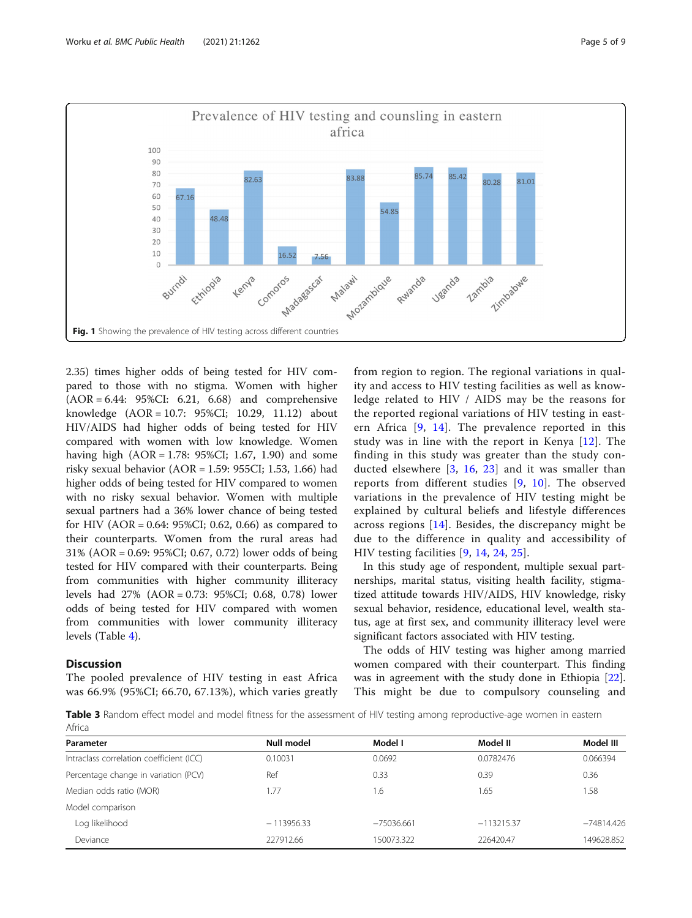<span id="page-4-0"></span>

2.35) times higher odds of being tested for HIV compared to those with no stigma. Women with higher (AOR = 6.44: 95%CI: 6.21, 6.68) and comprehensive knowledge (AOR = 10.7: 95%CI; 10.29, 11.12) about HIV/AIDS had higher odds of being tested for HIV compared with women with low knowledge. Women having high (AOR = 1.78: 95%CI; 1.67, 1.90) and some risky sexual behavior (AOR = 1.59: 955CI; 1.53, 1.66) had higher odds of being tested for HIV compared to women with no risky sexual behavior. Women with multiple sexual partners had a 36% lower chance of being tested for HIV (AOR = 0.64: 95%CI; 0.62, 0.66) as compared to their counterparts. Women from the rural areas had 31% (AOR = 0.69: 95%CI; 0.67, 0.72) lower odds of being tested for HIV compared with their counterparts. Being from communities with higher community illiteracy levels had 27% (AOR = 0.73: 95%CI; 0.68, 0.78) lower odds of being tested for HIV compared with women from communities with lower community illiteracy levels (Table [4\)](#page-6-0).

# **Discussion**

The pooled prevalence of HIV testing in east Africa was 66.9% (95%CI; 66.70, 67.13%), which varies greatly from region to region. The regional variations in quality and access to HIV testing facilities as well as knowledge related to HIV / AIDS may be the reasons for the reported regional variations of HIV testing in eastern Africa [\[9](#page-8-0), [14\]](#page-8-0). The prevalence reported in this study was in line with the report in Kenya [[12\]](#page-8-0). The finding in this study was greater than the study conducted elsewhere [\[3](#page-8-0), [16](#page-8-0), [23](#page-8-0)] and it was smaller than reports from different studies [\[9,](#page-8-0) [10](#page-8-0)]. The observed variations in the prevalence of HIV testing might be explained by cultural beliefs and lifestyle differences across regions [[14\]](#page-8-0). Besides, the discrepancy might be due to the difference in quality and accessibility of HIV testing facilities [[9,](#page-8-0) [14](#page-8-0), [24,](#page-8-0) [25](#page-8-0)].

In this study age of respondent, multiple sexual partnerships, marital status, visiting health facility, stigmatized attitude towards HIV/AIDS, HIV knowledge, risky sexual behavior, residence, educational level, wealth status, age at first sex, and community illiteracy level were significant factors associated with HIV testing.

The odds of HIV testing was higher among married women compared with their counterpart. This finding was in agreement with the study done in Ethiopia [\[22](#page-8-0)]. This might be due to compulsory counseling and

Table 3 Random effect model and model fitness for the assessment of HIV testing among reproductive-age women in eastern Africa

| Parameter                                | Null model   | Model I     | Model II     | Model III    |
|------------------------------------------|--------------|-------------|--------------|--------------|
| Intraclass correlation coefficient (ICC) | 0.10031      | 0.0692      | 0.0782476    | 0.066394     |
| Percentage change in variation (PCV)     | Ref          | 0.33        | 0.39         | 0.36         |
| Median odds ratio (MOR)                  | 1.77         | 1.6         | 1.65         | 1.58         |
| Model comparison                         |              |             |              |              |
| Log likelihood                           | $-113956.33$ | $-75036661$ | $-113215.37$ | $-74814.426$ |
| Deviance                                 | 227912.66    | 150073.322  | 226420.47    | 149628.852   |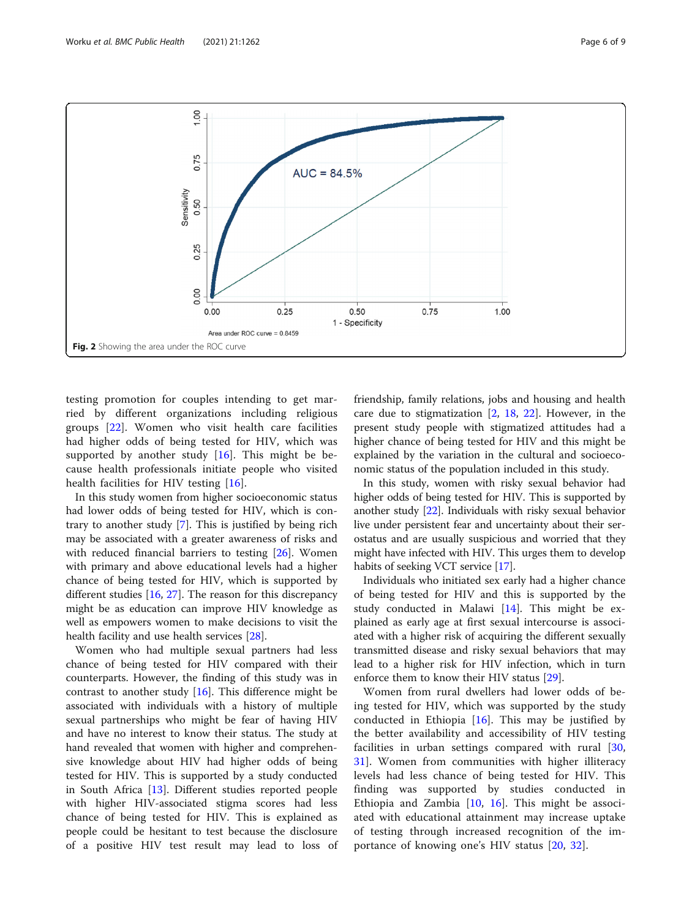<span id="page-5-0"></span>

testing promotion for couples intending to get married by different organizations including religious groups [\[22](#page-8-0)]. Women who visit health care facilities had higher odds of being tested for HIV, which was supported by another study [[16\]](#page-8-0). This might be because health professionals initiate people who visited health facilities for HIV testing [[16\]](#page-8-0).

In this study women from higher socioeconomic status had lower odds of being tested for HIV, which is contrary to another study [[7\]](#page-8-0). This is justified by being rich may be associated with a greater awareness of risks and with reduced financial barriers to testing [[26\]](#page-8-0). Women with primary and above educational levels had a higher chance of being tested for HIV, which is supported by different studies [[16](#page-8-0), [27](#page-8-0)]. The reason for this discrepancy might be as education can improve HIV knowledge as well as empowers women to make decisions to visit the health facility and use health services [[28\]](#page-8-0).

Women who had multiple sexual partners had less chance of being tested for HIV compared with their counterparts. However, the finding of this study was in contrast to another study  $[16]$ . This difference might be associated with individuals with a history of multiple sexual partnerships who might be fear of having HIV and have no interest to know their status. The study at hand revealed that women with higher and comprehensive knowledge about HIV had higher odds of being tested for HIV. This is supported by a study conducted in South Africa [\[13](#page-8-0)]. Different studies reported people with higher HIV-associated stigma scores had less chance of being tested for HIV. This is explained as people could be hesitant to test because the disclosure of a positive HIV test result may lead to loss of friendship, family relations, jobs and housing and health care due to stigmatization  $[2, 18, 22]$  $[2, 18, 22]$  $[2, 18, 22]$  $[2, 18, 22]$  $[2, 18, 22]$  $[2, 18, 22]$ . However, in the present study people with stigmatized attitudes had a higher chance of being tested for HIV and this might be explained by the variation in the cultural and socioeconomic status of the population included in this study.

In this study, women with risky sexual behavior had higher odds of being tested for HIV. This is supported by another study [\[22\]](#page-8-0). Individuals with risky sexual behavior live under persistent fear and uncertainty about their serostatus and are usually suspicious and worried that they might have infected with HIV. This urges them to develop habits of seeking VCT service [[17\]](#page-8-0).

Individuals who initiated sex early had a higher chance of being tested for HIV and this is supported by the study conducted in Malawi  $[14]$  $[14]$  $[14]$ . This might be explained as early age at first sexual intercourse is associated with a higher risk of acquiring the different sexually transmitted disease and risky sexual behaviors that may lead to a higher risk for HIV infection, which in turn enforce them to know their HIV status [[29\]](#page-8-0).

Women from rural dwellers had lower odds of being tested for HIV, which was supported by the study conducted in Ethiopia  $[16]$  $[16]$ . This may be justified by the better availability and accessibility of HIV testing facilities in urban settings compared with rural [\[30](#page-8-0), [31\]](#page-8-0). Women from communities with higher illiteracy levels had less chance of being tested for HIV. This finding was supported by studies conducted in Ethiopia and Zambia  $[10, 16]$  $[10, 16]$  $[10, 16]$  $[10, 16]$ . This might be associated with educational attainment may increase uptake of testing through increased recognition of the importance of knowing one's HIV status [[20,](#page-8-0) [32](#page-8-0)].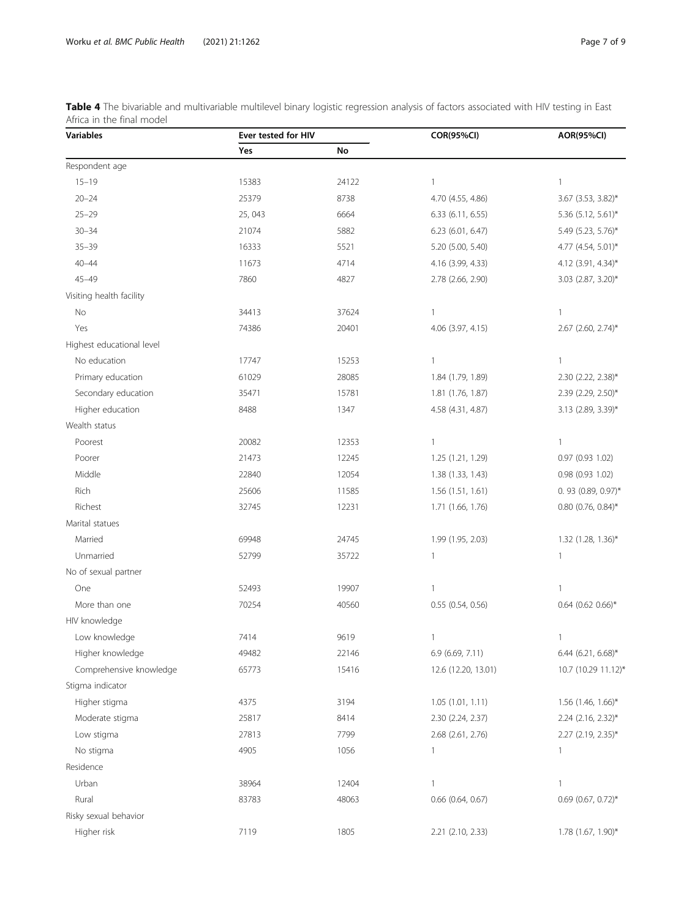<span id="page-6-0"></span>

| Table 4 The bivariable and multivariable multilevel binary logistic regression analysis of factors associated with HIV testing in East |  |  |  |
|----------------------------------------------------------------------------------------------------------------------------------------|--|--|--|
| Africa in the final model                                                                                                              |  |  |  |

| Yes<br>No<br>Respondent age<br>$15 - 19$<br>15383<br>24122<br>$\mathbf{1}$<br>$\mathbf{1}$<br>$20 - 24$<br>25379<br>8738<br>3.67 (3.53, 3.82)*<br>4.70 (4.55, 4.86)<br>$25 - 29$<br>6664<br>25,043<br>6.33 (6.11, 6.55)<br>5.36 (5.12, 5.61)*<br>$30 - 34$<br>21074<br>5882<br>6.23 (6.01, 6.47)<br>5.49 (5.23, 5.76)*<br>$35 - 39$<br>16333<br>5521<br>5.20 (5.00, 5.40)<br>4.77 (4.54, 5.01)*<br>$40 - 44$<br>4714<br>11673<br>4.16 (3.99, 4.33)<br>4.12 (3.91, 4.34)*<br>$45 - 49$<br>7860<br>4827<br>2.78 (2.66, 2.90)<br>3.03 (2.87, 3.20)*<br>Visiting health facility<br>No<br>34413<br>37624<br>$\mathbf{1}$<br>$\mathbf{1}$<br>Yes<br>74386<br>20401<br>4.06 (3.97, 4.15)<br>2.67 (2.60, 2.74)*<br>Highest educational level<br>No education<br>17747<br>15253<br>$\mathbf{1}$<br>$\mathbf{1}$<br>Primary education<br>28085<br>1.84 (1.79, 1.89)<br>61029<br>2.30 (2.22, 2.38)*<br>Secondary education<br>15781<br>1.81 (1.76, 1.87)<br>2.39 (2.29, 2.50)*<br>35471<br>Higher education<br>8488<br>1347<br>4.58 (4.31, 4.87)<br>3.13 (2.89, 3.39)*<br>Wealth status<br>Poorest<br>20082<br>12353<br>$\mathbf{1}$<br>$\mathbf{1}$<br>21473<br>Poorer<br>12245<br>1.25 (1.21, 1.29)<br>0.97 (0.93 1.02)<br>Middle<br>22840<br>12054<br>1.38 (1.33, 1.43)<br>0.98 (0.93 1.02)<br>Rich<br>25606<br>11585<br>1.56 (1.51, 1.61)<br>0.93 (0.89, 0.97)*<br>Richest<br>12231<br>$0.80$ (0.76, 0.84)*<br>32745<br>1.71 (1.66, 1.76)<br>Marital statues<br>Married<br>24745<br>1.99 (1.95, 2.03)<br>1.32 (1.28, 1.36)*<br>69948<br>Unmarried<br>52799<br>35722<br>$\mathbf{1}$<br>$\mathbf{1}$<br>No of sexual partner<br>One<br>19907<br>$\mathbf{1}$<br>$\mathbf{1}$<br>52493<br>More than one<br>70254<br>0.55 (0.54, 0.56)<br>$0.64$ (0.62 0.66)*<br>40560<br>HIV knowledge<br>Low knowledge<br>7414<br>9619<br>$\mathbf{1}$<br>$\mathbf{1}$<br>Higher knowledge<br>49482<br>22146<br>6.9 (6.69, 7.11)<br>6.44 (6.21, 6.68)*<br>Comprehensive knowledge<br>65773<br>15416<br>12.6 (12.20, 13.01)<br>10.7 (10.29 11.12)*<br>Stigma indicator<br>1.56 (1.46, 1.66)*<br>Higher stigma<br>4375<br>3194<br>1.05 (1.01, 1.11)<br>Moderate stigma<br>25817<br>8414<br>2.30 (2.24, 2.37)<br>2.24 (2.16, 2.32)*<br>27813<br>2.68 (2.61, 2.76)<br>Low stigma<br>7799<br>$2.27$ (2.19, 2.35)*<br>No stigma<br>4905<br>1056<br>$\mathbf{1}$<br>1<br>Residence<br>Urban<br>12404<br>38964<br>$\mathbf{1}$<br>$\mathbf{1}$<br>Rural<br>83783<br>48063<br>$0.66$ $(0.64, 0.67)$<br>$0.69$ (0.67, 0.72)*<br>Risky sexual behavior<br>Higher risk<br>7119<br>1805<br>1.78 (1.67, 1.90)*<br>2.21 (2.10, 2.33) | <b>Variables</b> | Ever tested for HIV |  | <b>COR(95%CI)</b> | <b>AOR(95%CI)</b> |
|------------------------------------------------------------------------------------------------------------------------------------------------------------------------------------------------------------------------------------------------------------------------------------------------------------------------------------------------------------------------------------------------------------------------------------------------------------------------------------------------------------------------------------------------------------------------------------------------------------------------------------------------------------------------------------------------------------------------------------------------------------------------------------------------------------------------------------------------------------------------------------------------------------------------------------------------------------------------------------------------------------------------------------------------------------------------------------------------------------------------------------------------------------------------------------------------------------------------------------------------------------------------------------------------------------------------------------------------------------------------------------------------------------------------------------------------------------------------------------------------------------------------------------------------------------------------------------------------------------------------------------------------------------------------------------------------------------------------------------------------------------------------------------------------------------------------------------------------------------------------------------------------------------------------------------------------------------------------------------------------------------------------------------------------------------------------------------------------------------------------------------------------------------------------------------------------------------------------------------------------------------------------------------------------------------------------------------------------------------------------------------------------------------------------------------------------------------------------------------------------------------------------------------------------------------------------------------------------|------------------|---------------------|--|-------------------|-------------------|
|                                                                                                                                                                                                                                                                                                                                                                                                                                                                                                                                                                                                                                                                                                                                                                                                                                                                                                                                                                                                                                                                                                                                                                                                                                                                                                                                                                                                                                                                                                                                                                                                                                                                                                                                                                                                                                                                                                                                                                                                                                                                                                                                                                                                                                                                                                                                                                                                                                                                                                                                                                                                |                  |                     |  |                   |                   |
|                                                                                                                                                                                                                                                                                                                                                                                                                                                                                                                                                                                                                                                                                                                                                                                                                                                                                                                                                                                                                                                                                                                                                                                                                                                                                                                                                                                                                                                                                                                                                                                                                                                                                                                                                                                                                                                                                                                                                                                                                                                                                                                                                                                                                                                                                                                                                                                                                                                                                                                                                                                                |                  |                     |  |                   |                   |
|                                                                                                                                                                                                                                                                                                                                                                                                                                                                                                                                                                                                                                                                                                                                                                                                                                                                                                                                                                                                                                                                                                                                                                                                                                                                                                                                                                                                                                                                                                                                                                                                                                                                                                                                                                                                                                                                                                                                                                                                                                                                                                                                                                                                                                                                                                                                                                                                                                                                                                                                                                                                |                  |                     |  |                   |                   |
|                                                                                                                                                                                                                                                                                                                                                                                                                                                                                                                                                                                                                                                                                                                                                                                                                                                                                                                                                                                                                                                                                                                                                                                                                                                                                                                                                                                                                                                                                                                                                                                                                                                                                                                                                                                                                                                                                                                                                                                                                                                                                                                                                                                                                                                                                                                                                                                                                                                                                                                                                                                                |                  |                     |  |                   |                   |
|                                                                                                                                                                                                                                                                                                                                                                                                                                                                                                                                                                                                                                                                                                                                                                                                                                                                                                                                                                                                                                                                                                                                                                                                                                                                                                                                                                                                                                                                                                                                                                                                                                                                                                                                                                                                                                                                                                                                                                                                                                                                                                                                                                                                                                                                                                                                                                                                                                                                                                                                                                                                |                  |                     |  |                   |                   |
|                                                                                                                                                                                                                                                                                                                                                                                                                                                                                                                                                                                                                                                                                                                                                                                                                                                                                                                                                                                                                                                                                                                                                                                                                                                                                                                                                                                                                                                                                                                                                                                                                                                                                                                                                                                                                                                                                                                                                                                                                                                                                                                                                                                                                                                                                                                                                                                                                                                                                                                                                                                                |                  |                     |  |                   |                   |
|                                                                                                                                                                                                                                                                                                                                                                                                                                                                                                                                                                                                                                                                                                                                                                                                                                                                                                                                                                                                                                                                                                                                                                                                                                                                                                                                                                                                                                                                                                                                                                                                                                                                                                                                                                                                                                                                                                                                                                                                                                                                                                                                                                                                                                                                                                                                                                                                                                                                                                                                                                                                |                  |                     |  |                   |                   |
|                                                                                                                                                                                                                                                                                                                                                                                                                                                                                                                                                                                                                                                                                                                                                                                                                                                                                                                                                                                                                                                                                                                                                                                                                                                                                                                                                                                                                                                                                                                                                                                                                                                                                                                                                                                                                                                                                                                                                                                                                                                                                                                                                                                                                                                                                                                                                                                                                                                                                                                                                                                                |                  |                     |  |                   |                   |
|                                                                                                                                                                                                                                                                                                                                                                                                                                                                                                                                                                                                                                                                                                                                                                                                                                                                                                                                                                                                                                                                                                                                                                                                                                                                                                                                                                                                                                                                                                                                                                                                                                                                                                                                                                                                                                                                                                                                                                                                                                                                                                                                                                                                                                                                                                                                                                                                                                                                                                                                                                                                |                  |                     |  |                   |                   |
|                                                                                                                                                                                                                                                                                                                                                                                                                                                                                                                                                                                                                                                                                                                                                                                                                                                                                                                                                                                                                                                                                                                                                                                                                                                                                                                                                                                                                                                                                                                                                                                                                                                                                                                                                                                                                                                                                                                                                                                                                                                                                                                                                                                                                                                                                                                                                                                                                                                                                                                                                                                                |                  |                     |  |                   |                   |
|                                                                                                                                                                                                                                                                                                                                                                                                                                                                                                                                                                                                                                                                                                                                                                                                                                                                                                                                                                                                                                                                                                                                                                                                                                                                                                                                                                                                                                                                                                                                                                                                                                                                                                                                                                                                                                                                                                                                                                                                                                                                                                                                                                                                                                                                                                                                                                                                                                                                                                                                                                                                |                  |                     |  |                   |                   |
|                                                                                                                                                                                                                                                                                                                                                                                                                                                                                                                                                                                                                                                                                                                                                                                                                                                                                                                                                                                                                                                                                                                                                                                                                                                                                                                                                                                                                                                                                                                                                                                                                                                                                                                                                                                                                                                                                                                                                                                                                                                                                                                                                                                                                                                                                                                                                                                                                                                                                                                                                                                                |                  |                     |  |                   |                   |
|                                                                                                                                                                                                                                                                                                                                                                                                                                                                                                                                                                                                                                                                                                                                                                                                                                                                                                                                                                                                                                                                                                                                                                                                                                                                                                                                                                                                                                                                                                                                                                                                                                                                                                                                                                                                                                                                                                                                                                                                                                                                                                                                                                                                                                                                                                                                                                                                                                                                                                                                                                                                |                  |                     |  |                   |                   |
|                                                                                                                                                                                                                                                                                                                                                                                                                                                                                                                                                                                                                                                                                                                                                                                                                                                                                                                                                                                                                                                                                                                                                                                                                                                                                                                                                                                                                                                                                                                                                                                                                                                                                                                                                                                                                                                                                                                                                                                                                                                                                                                                                                                                                                                                                                                                                                                                                                                                                                                                                                                                |                  |                     |  |                   |                   |
|                                                                                                                                                                                                                                                                                                                                                                                                                                                                                                                                                                                                                                                                                                                                                                                                                                                                                                                                                                                                                                                                                                                                                                                                                                                                                                                                                                                                                                                                                                                                                                                                                                                                                                                                                                                                                                                                                                                                                                                                                                                                                                                                                                                                                                                                                                                                                                                                                                                                                                                                                                                                |                  |                     |  |                   |                   |
|                                                                                                                                                                                                                                                                                                                                                                                                                                                                                                                                                                                                                                                                                                                                                                                                                                                                                                                                                                                                                                                                                                                                                                                                                                                                                                                                                                                                                                                                                                                                                                                                                                                                                                                                                                                                                                                                                                                                                                                                                                                                                                                                                                                                                                                                                                                                                                                                                                                                                                                                                                                                |                  |                     |  |                   |                   |
|                                                                                                                                                                                                                                                                                                                                                                                                                                                                                                                                                                                                                                                                                                                                                                                                                                                                                                                                                                                                                                                                                                                                                                                                                                                                                                                                                                                                                                                                                                                                                                                                                                                                                                                                                                                                                                                                                                                                                                                                                                                                                                                                                                                                                                                                                                                                                                                                                                                                                                                                                                                                |                  |                     |  |                   |                   |
|                                                                                                                                                                                                                                                                                                                                                                                                                                                                                                                                                                                                                                                                                                                                                                                                                                                                                                                                                                                                                                                                                                                                                                                                                                                                                                                                                                                                                                                                                                                                                                                                                                                                                                                                                                                                                                                                                                                                                                                                                                                                                                                                                                                                                                                                                                                                                                                                                                                                                                                                                                                                |                  |                     |  |                   |                   |
|                                                                                                                                                                                                                                                                                                                                                                                                                                                                                                                                                                                                                                                                                                                                                                                                                                                                                                                                                                                                                                                                                                                                                                                                                                                                                                                                                                                                                                                                                                                                                                                                                                                                                                                                                                                                                                                                                                                                                                                                                                                                                                                                                                                                                                                                                                                                                                                                                                                                                                                                                                                                |                  |                     |  |                   |                   |
|                                                                                                                                                                                                                                                                                                                                                                                                                                                                                                                                                                                                                                                                                                                                                                                                                                                                                                                                                                                                                                                                                                                                                                                                                                                                                                                                                                                                                                                                                                                                                                                                                                                                                                                                                                                                                                                                                                                                                                                                                                                                                                                                                                                                                                                                                                                                                                                                                                                                                                                                                                                                |                  |                     |  |                   |                   |
|                                                                                                                                                                                                                                                                                                                                                                                                                                                                                                                                                                                                                                                                                                                                                                                                                                                                                                                                                                                                                                                                                                                                                                                                                                                                                                                                                                                                                                                                                                                                                                                                                                                                                                                                                                                                                                                                                                                                                                                                                                                                                                                                                                                                                                                                                                                                                                                                                                                                                                                                                                                                |                  |                     |  |                   |                   |
|                                                                                                                                                                                                                                                                                                                                                                                                                                                                                                                                                                                                                                                                                                                                                                                                                                                                                                                                                                                                                                                                                                                                                                                                                                                                                                                                                                                                                                                                                                                                                                                                                                                                                                                                                                                                                                                                                                                                                                                                                                                                                                                                                                                                                                                                                                                                                                                                                                                                                                                                                                                                |                  |                     |  |                   |                   |
|                                                                                                                                                                                                                                                                                                                                                                                                                                                                                                                                                                                                                                                                                                                                                                                                                                                                                                                                                                                                                                                                                                                                                                                                                                                                                                                                                                                                                                                                                                                                                                                                                                                                                                                                                                                                                                                                                                                                                                                                                                                                                                                                                                                                                                                                                                                                                                                                                                                                                                                                                                                                |                  |                     |  |                   |                   |
|                                                                                                                                                                                                                                                                                                                                                                                                                                                                                                                                                                                                                                                                                                                                                                                                                                                                                                                                                                                                                                                                                                                                                                                                                                                                                                                                                                                                                                                                                                                                                                                                                                                                                                                                                                                                                                                                                                                                                                                                                                                                                                                                                                                                                                                                                                                                                                                                                                                                                                                                                                                                |                  |                     |  |                   |                   |
|                                                                                                                                                                                                                                                                                                                                                                                                                                                                                                                                                                                                                                                                                                                                                                                                                                                                                                                                                                                                                                                                                                                                                                                                                                                                                                                                                                                                                                                                                                                                                                                                                                                                                                                                                                                                                                                                                                                                                                                                                                                                                                                                                                                                                                                                                                                                                                                                                                                                                                                                                                                                |                  |                     |  |                   |                   |
|                                                                                                                                                                                                                                                                                                                                                                                                                                                                                                                                                                                                                                                                                                                                                                                                                                                                                                                                                                                                                                                                                                                                                                                                                                                                                                                                                                                                                                                                                                                                                                                                                                                                                                                                                                                                                                                                                                                                                                                                                                                                                                                                                                                                                                                                                                                                                                                                                                                                                                                                                                                                |                  |                     |  |                   |                   |
|                                                                                                                                                                                                                                                                                                                                                                                                                                                                                                                                                                                                                                                                                                                                                                                                                                                                                                                                                                                                                                                                                                                                                                                                                                                                                                                                                                                                                                                                                                                                                                                                                                                                                                                                                                                                                                                                                                                                                                                                                                                                                                                                                                                                                                                                                                                                                                                                                                                                                                                                                                                                |                  |                     |  |                   |                   |
|                                                                                                                                                                                                                                                                                                                                                                                                                                                                                                                                                                                                                                                                                                                                                                                                                                                                                                                                                                                                                                                                                                                                                                                                                                                                                                                                                                                                                                                                                                                                                                                                                                                                                                                                                                                                                                                                                                                                                                                                                                                                                                                                                                                                                                                                                                                                                                                                                                                                                                                                                                                                |                  |                     |  |                   |                   |
|                                                                                                                                                                                                                                                                                                                                                                                                                                                                                                                                                                                                                                                                                                                                                                                                                                                                                                                                                                                                                                                                                                                                                                                                                                                                                                                                                                                                                                                                                                                                                                                                                                                                                                                                                                                                                                                                                                                                                                                                                                                                                                                                                                                                                                                                                                                                                                                                                                                                                                                                                                                                |                  |                     |  |                   |                   |
|                                                                                                                                                                                                                                                                                                                                                                                                                                                                                                                                                                                                                                                                                                                                                                                                                                                                                                                                                                                                                                                                                                                                                                                                                                                                                                                                                                                                                                                                                                                                                                                                                                                                                                                                                                                                                                                                                                                                                                                                                                                                                                                                                                                                                                                                                                                                                                                                                                                                                                                                                                                                |                  |                     |  |                   |                   |
|                                                                                                                                                                                                                                                                                                                                                                                                                                                                                                                                                                                                                                                                                                                                                                                                                                                                                                                                                                                                                                                                                                                                                                                                                                                                                                                                                                                                                                                                                                                                                                                                                                                                                                                                                                                                                                                                                                                                                                                                                                                                                                                                                                                                                                                                                                                                                                                                                                                                                                                                                                                                |                  |                     |  |                   |                   |
|                                                                                                                                                                                                                                                                                                                                                                                                                                                                                                                                                                                                                                                                                                                                                                                                                                                                                                                                                                                                                                                                                                                                                                                                                                                                                                                                                                                                                                                                                                                                                                                                                                                                                                                                                                                                                                                                                                                                                                                                                                                                                                                                                                                                                                                                                                                                                                                                                                                                                                                                                                                                |                  |                     |  |                   |                   |
|                                                                                                                                                                                                                                                                                                                                                                                                                                                                                                                                                                                                                                                                                                                                                                                                                                                                                                                                                                                                                                                                                                                                                                                                                                                                                                                                                                                                                                                                                                                                                                                                                                                                                                                                                                                                                                                                                                                                                                                                                                                                                                                                                                                                                                                                                                                                                                                                                                                                                                                                                                                                |                  |                     |  |                   |                   |
|                                                                                                                                                                                                                                                                                                                                                                                                                                                                                                                                                                                                                                                                                                                                                                                                                                                                                                                                                                                                                                                                                                                                                                                                                                                                                                                                                                                                                                                                                                                                                                                                                                                                                                                                                                                                                                                                                                                                                                                                                                                                                                                                                                                                                                                                                                                                                                                                                                                                                                                                                                                                |                  |                     |  |                   |                   |
|                                                                                                                                                                                                                                                                                                                                                                                                                                                                                                                                                                                                                                                                                                                                                                                                                                                                                                                                                                                                                                                                                                                                                                                                                                                                                                                                                                                                                                                                                                                                                                                                                                                                                                                                                                                                                                                                                                                                                                                                                                                                                                                                                                                                                                                                                                                                                                                                                                                                                                                                                                                                |                  |                     |  |                   |                   |
|                                                                                                                                                                                                                                                                                                                                                                                                                                                                                                                                                                                                                                                                                                                                                                                                                                                                                                                                                                                                                                                                                                                                                                                                                                                                                                                                                                                                                                                                                                                                                                                                                                                                                                                                                                                                                                                                                                                                                                                                                                                                                                                                                                                                                                                                                                                                                                                                                                                                                                                                                                                                |                  |                     |  |                   |                   |
|                                                                                                                                                                                                                                                                                                                                                                                                                                                                                                                                                                                                                                                                                                                                                                                                                                                                                                                                                                                                                                                                                                                                                                                                                                                                                                                                                                                                                                                                                                                                                                                                                                                                                                                                                                                                                                                                                                                                                                                                                                                                                                                                                                                                                                                                                                                                                                                                                                                                                                                                                                                                |                  |                     |  |                   |                   |
|                                                                                                                                                                                                                                                                                                                                                                                                                                                                                                                                                                                                                                                                                                                                                                                                                                                                                                                                                                                                                                                                                                                                                                                                                                                                                                                                                                                                                                                                                                                                                                                                                                                                                                                                                                                                                                                                                                                                                                                                                                                                                                                                                                                                                                                                                                                                                                                                                                                                                                                                                                                                |                  |                     |  |                   |                   |
|                                                                                                                                                                                                                                                                                                                                                                                                                                                                                                                                                                                                                                                                                                                                                                                                                                                                                                                                                                                                                                                                                                                                                                                                                                                                                                                                                                                                                                                                                                                                                                                                                                                                                                                                                                                                                                                                                                                                                                                                                                                                                                                                                                                                                                                                                                                                                                                                                                                                                                                                                                                                |                  |                     |  |                   |                   |
|                                                                                                                                                                                                                                                                                                                                                                                                                                                                                                                                                                                                                                                                                                                                                                                                                                                                                                                                                                                                                                                                                                                                                                                                                                                                                                                                                                                                                                                                                                                                                                                                                                                                                                                                                                                                                                                                                                                                                                                                                                                                                                                                                                                                                                                                                                                                                                                                                                                                                                                                                                                                |                  |                     |  |                   |                   |
|                                                                                                                                                                                                                                                                                                                                                                                                                                                                                                                                                                                                                                                                                                                                                                                                                                                                                                                                                                                                                                                                                                                                                                                                                                                                                                                                                                                                                                                                                                                                                                                                                                                                                                                                                                                                                                                                                                                                                                                                                                                                                                                                                                                                                                                                                                                                                                                                                                                                                                                                                                                                |                  |                     |  |                   |                   |
|                                                                                                                                                                                                                                                                                                                                                                                                                                                                                                                                                                                                                                                                                                                                                                                                                                                                                                                                                                                                                                                                                                                                                                                                                                                                                                                                                                                                                                                                                                                                                                                                                                                                                                                                                                                                                                                                                                                                                                                                                                                                                                                                                                                                                                                                                                                                                                                                                                                                                                                                                                                                |                  |                     |  |                   |                   |
|                                                                                                                                                                                                                                                                                                                                                                                                                                                                                                                                                                                                                                                                                                                                                                                                                                                                                                                                                                                                                                                                                                                                                                                                                                                                                                                                                                                                                                                                                                                                                                                                                                                                                                                                                                                                                                                                                                                                                                                                                                                                                                                                                                                                                                                                                                                                                                                                                                                                                                                                                                                                |                  |                     |  |                   |                   |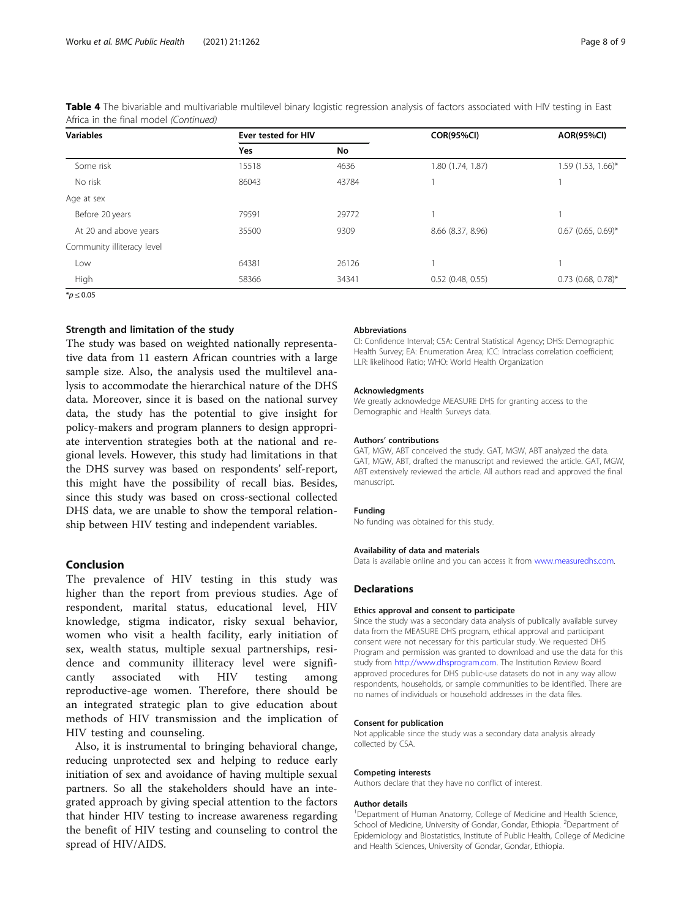| <b>Variables</b>           |            | Ever tested for HIV |                     | <b>AOR(95%CI)</b>    |
|----------------------------|------------|---------------------|---------------------|----------------------|
|                            | <b>Yes</b> | No                  |                     |                      |
| Some risk                  | 15518      | 4636                | 1.80 (1.74, 1.87)   | 1.59 (1.53, 1.66)*   |
| No risk                    | 86043      | 43784               |                     |                      |
| Age at sex                 |            |                     |                     |                      |
| Before 20 years            | 79591      | 29772               |                     |                      |
| At 20 and above years      | 35500      | 9309                | 8.66 (8.37, 8.96)   | $0.67$ (0.65, 0.69)* |
| Community illiteracy level |            |                     |                     |                      |
| Low                        | 64381      | 26126               |                     |                      |
| High                       | 58366      | 34341               | $0.52$ (0.48, 0.55) | $0.73$ (0.68, 0.78)* |
| $*_{p}$ < 0.05             |            |                     |                     |                      |

Table 4 The bivariable and multivariable multilevel binary logistic regression analysis of factors associated with HIV testing in East Africa in the final model (Continued)

# Strength and limitation of the study

The study was based on weighted nationally representative data from 11 eastern African countries with a large sample size. Also, the analysis used the multilevel analysis to accommodate the hierarchical nature of the DHS data. Moreover, since it is based on the national survey data, the study has the potential to give insight for policy-makers and program planners to design appropriate intervention strategies both at the national and regional levels. However, this study had limitations in that the DHS survey was based on respondents' self-report, this might have the possibility of recall bias. Besides, since this study was based on cross-sectional collected DHS data, we are unable to show the temporal relationship between HIV testing and independent variables.

# Conclusion

The prevalence of HIV testing in this study was higher than the report from previous studies. Age of respondent, marital status, educational level, HIV knowledge, stigma indicator, risky sexual behavior, women who visit a health facility, early initiation of sex, wealth status, multiple sexual partnerships, residence and community illiteracy level were significantly associated with HIV testing among reproductive-age women. Therefore, there should be an integrated strategic plan to give education about methods of HIV transmission and the implication of HIV testing and counseling.

Also, it is instrumental to bringing behavioral change, reducing unprotected sex and helping to reduce early initiation of sex and avoidance of having multiple sexual partners. So all the stakeholders should have an integrated approach by giving special attention to the factors that hinder HIV testing to increase awareness regarding the benefit of HIV testing and counseling to control the spread of HIV/AIDS.

#### Abbreviations

CI: Confidence Interval; CSA: Central Statistical Agency; DHS: Demographic Health Survey; EA: Enumeration Area; ICC: Intraclass correlation coefficient; LLR: likelihood Ratio; WHO: World Health Organization

#### Acknowledgments

We greatly acknowledge MEASURE DHS for granting access to the Demographic and Health Surveys data.

#### Authors' contributions

GAT, MGW, ABT conceived the study. GAT, MGW, ABT analyzed the data. GAT, MGW, ABT, drafted the manuscript and reviewed the article. GAT, MGW, ABT extensively reviewed the article. All authors read and approved the final manuscript.

#### Funding

No funding was obtained for this study.

#### Availability of data and materials

Data is available online and you can access it from [www.measuredhs.com](http://www.measuredhs.com).

#### **Declarations**

#### Ethics approval and consent to participate

Since the study was a secondary data analysis of publically available survey data from the MEASURE DHS program, ethical approval and participant consent were not necessary for this particular study. We requested DHS Program and permission was granted to download and use the data for this study from [http://www.dhsprogram.com.](http://www.dhsprogram.com) The Institution Review Board approved procedures for DHS public-use datasets do not in any way allow respondents, households, or sample communities to be identified. There are no names of individuals or household addresses in the data files.

#### Consent for publication

Not applicable since the study was a secondary data analysis already collected by CSA.

#### Competing interests

Authors declare that they have no conflict of interest.

#### Author details

<sup>1</sup>Department of Human Anatomy, College of Medicine and Health Science School of Medicine, University of Gondar, Gondar, Ethiopia. <sup>2</sup>Department of Epidemiology and Biostatistics, Institute of Public Health, College of Medicine and Health Sciences, University of Gondar, Gondar, Ethiopia.